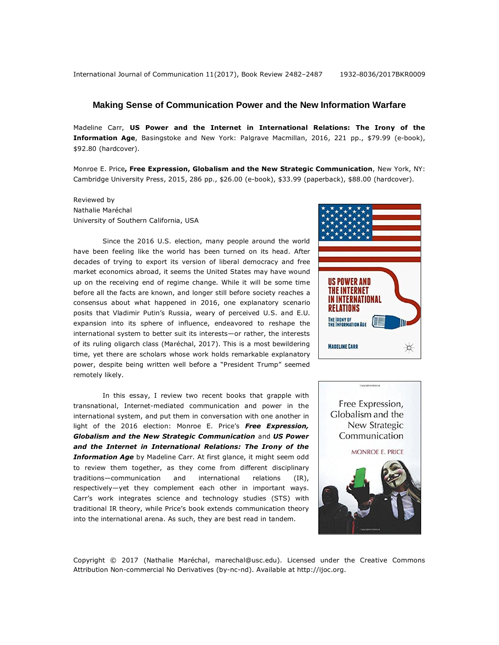## **Making Sense of Communication Power and the New Information Warfare**

Madeline Carr, **US Power and the Internet in International Relations: The Irony of the Information Age**, Basingstoke and New York: Palgrave Macmillan, 2016, 221 pp., \$79.99 (e-book), \$92.80 (hardcover).

Monroe E. Price**, Free Expression, Globalism and the New Strategic Communication**, New York, NY: Cambridge University Press, 2015, 286 pp., \$26.00 (e-book), \$33.99 (paperback), \$88.00 (hardcover).

Reviewed by Nathalie Maréchal University of Southern California, USA

Since the 2016 U.S. election, many people around the world have been feeling like the world has been turned on its head. After decades of trying to export its version of liberal democracy and free market economics abroad, it seems the United States may have wound up on the receiving end of regime change. While it will be some time before all the facts are known, and longer still before society reaches a consensus about what happened in 2016, one explanatory scenario posits that Vladimir Putin's Russia, weary of perceived U.S. and E.U. expansion into its sphere of influence, endeavored to reshape the international system to better suit its interests—or rather, the interests of its ruling oligarch class (Maréchal, 2017). This is a most bewildering time, yet there are scholars whose work holds remarkable explanatory power, despite being written well before a "President Trump" seemed remotely likely.

In this essay, I review two recent books that grapple with transnational, Internet-mediated communication and power in the international system, and put them in conversation with one another in light of the 2016 election: Monroe E. Price's *Free Expression, Globalism and the New Strategic Communication* and *US Power and the Internet in International Relations: The Irony of the Information Age* by Madeline Carr. At first glance, it might seem odd to review them together, as they come from different disciplinary traditions—communication and international relations (IR), respectively—yet they complement each other in important ways. Carr's work integrates science and technology studies (STS) with traditional IR theory, while Price's book extends communication theory into the international arena. As such, they are best read in tandem.





Copyright © 2017 (Nathalie Maréchal, marechal@usc.edu). Licensed under the Creative Commons Attribution Non-commercial No Derivatives (by-nc-nd). Available at [http://ijoc.org.](http://ijoc.org/)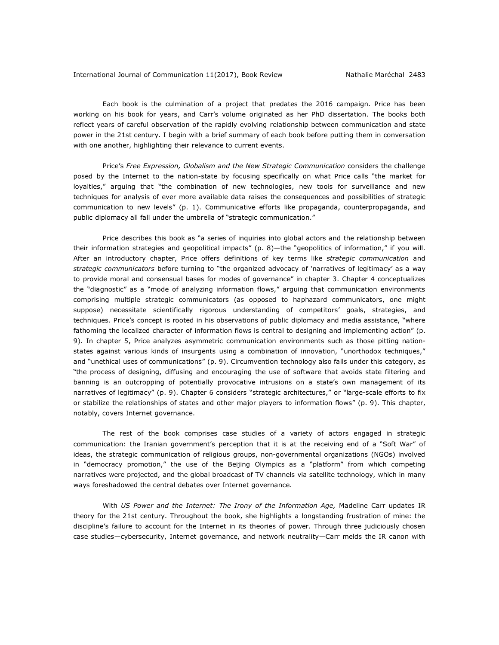Each book is the culmination of a project that predates the 2016 campaign. Price has been working on his book for years, and Carr's volume originated as her PhD dissertation. The books both reflect years of careful observation of the rapidly evolving relationship between communication and state power in the 21st century. I begin with a brief summary of each book before putting them in conversation with one another, highlighting their relevance to current events.

Price's *Free Expression, Globalism and the New Strategic Communication* considers the challenge posed by the Internet to the nation-state by focusing specifically on what Price calls "the market for loyalties," arguing that "the combination of new technologies, new tools for surveillance and new techniques for analysis of ever more available data raises the consequences and possibilities of strategic communication to new levels" (p. 1). Communicative efforts like propaganda, counterpropaganda, and public diplomacy all fall under the umbrella of "strategic communication."

Price describes this book as "a series of inquiries into global actors and the relationship between their information strategies and geopolitical impacts" (p. 8)—the "geopolitics of information," if you will. After an introductory chapter, Price offers definitions of key terms like *strategic communication* and *strategic communicators* before turning to "the organized advocacy of 'narratives of legitimacy' as a way to provide moral and consensual bases for modes of governance" in chapter 3. Chapter 4 conceptualizes the "diagnostic" as a "mode of analyzing information flows," arguing that communication environments comprising multiple strategic communicators (as opposed to haphazard communicators, one might suppose) necessitate scientifically rigorous understanding of competitors' goals, strategies, and techniques. Price's concept is rooted in his observations of public diplomacy and media assistance, "where fathoming the localized character of information flows is central to designing and implementing action" (p. 9). In chapter 5, Price analyzes asymmetric communication environments such as those pitting nationstates against various kinds of insurgents using a combination of innovation, "unorthodox techniques," and "unethical uses of communications" (p. 9). Circumvention technology also falls under this category, as "the process of designing, diffusing and encouraging the use of software that avoids state filtering and banning is an outcropping of potentially provocative intrusions on a state's own management of its narratives of legitimacy" (p. 9). Chapter 6 considers "strategic architectures," or "large-scale efforts to fix or stabilize the relationships of states and other major players to information flows" (p. 9). This chapter, notably, covers Internet governance.

The rest of the book comprises case studies of a variety of actors engaged in strategic communication: the Iranian government's perception that it is at the receiving end of a "Soft War" of ideas, the strategic communication of religious groups, non-governmental organizations (NGOs) involved in "democracy promotion," the use of the Beijing Olympics as a "platform" from which competing narratives were projected, and the global broadcast of TV channels via satellite technology, which in many ways foreshadowed the central debates over Internet governance.

With *US Power and the Internet: The Irony of the Information Age,* Madeline Carr updates IR theory for the 21st century. Throughout the book, she highlights a longstanding frustration of mine: the discipline's failure to account for the Internet in its theories of power. Through three judiciously chosen case studies—cybersecurity, Internet governance, and network neutrality—Carr melds the IR canon with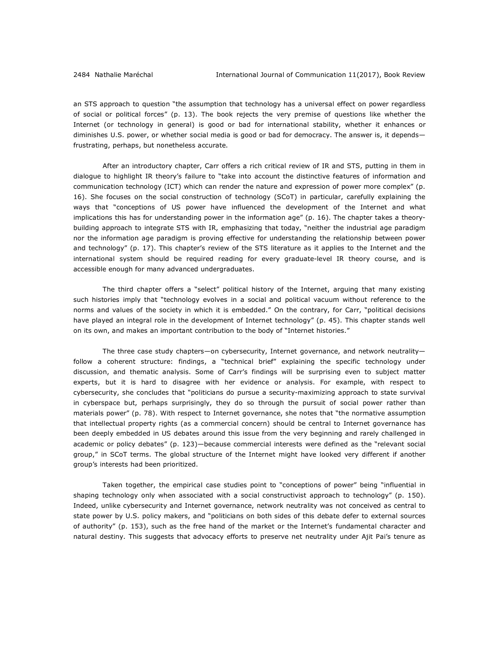an STS approach to question "the assumption that technology has a universal effect on power regardless of social or political forces" (p. 13). The book rejects the very premise of questions like whether the Internet (or technology in general) is good or bad for international stability, whether it enhances or diminishes U.S. power, or whether social media is good or bad for democracy. The answer is, it depends frustrating, perhaps, but nonetheless accurate.

After an introductory chapter, Carr offers a rich critical review of IR and STS, putting in them in dialogue to highlight IR theory's failure to "take into account the distinctive features of information and communication technology (ICT) which can render the nature and expression of power more complex" (p. 16). She focuses on the social construction of technology (SCoT) in particular, carefully explaining the ways that "conceptions of US power have influenced the development of the Internet and what implications this has for understanding power in the information age" (p. 16). The chapter takes a theorybuilding approach to integrate STS with IR, emphasizing that today, "neither the industrial age paradigm nor the information age paradigm is proving effective for understanding the relationship between power and technology" (p. 17). This chapter's review of the STS literature as it applies to the Internet and the international system should be required reading for every graduate-level IR theory course, and is accessible enough for many advanced undergraduates.

The third chapter offers a "select" political history of the Internet, arguing that many existing such histories imply that "technology evolves in a social and political vacuum without reference to the norms and values of the society in which it is embedded." On the contrary, for Carr, "political decisions have played an integral role in the development of Internet technology" (p. 45). This chapter stands well on its own, and makes an important contribution to the body of "Internet histories."

The three case study chapters—on cybersecurity, Internet governance, and network neutrality follow a coherent structure: findings, a "technical brief" explaining the specific technology under discussion, and thematic analysis. Some of Carr's findings will be surprising even to subject matter experts, but it is hard to disagree with her evidence or analysis. For example, with respect to cybersecurity, she concludes that "politicians do pursue a security-maximizing approach to state survival in cyberspace but, perhaps surprisingly, they do so through the pursuit of social power rather than materials power" (p. 78). With respect to Internet governance, she notes that "the normative assumption that intellectual property rights (as a commercial concern) should be central to Internet governance has been deeply embedded in US debates around this issue from the very beginning and rarely challenged in academic or policy debates" (p. 123)—because commercial interests were defined as the "relevant social group," in SCoT terms. The global structure of the Internet might have looked very different if another group's interests had been prioritized.

Taken together, the empirical case studies point to "conceptions of power" being "influential in shaping technology only when associated with a social constructivist approach to technology" (p. 150). Indeed, unlike cybersecurity and Internet governance, network neutrality was not conceived as central to state power by U.S. policy makers, and "politicians on both sides of this debate defer to external sources of authority" (p. 153), such as the free hand of the market or the Internet's fundamental character and natural destiny. This suggests that advocacy efforts to preserve net neutrality under Ajit Pai's tenure as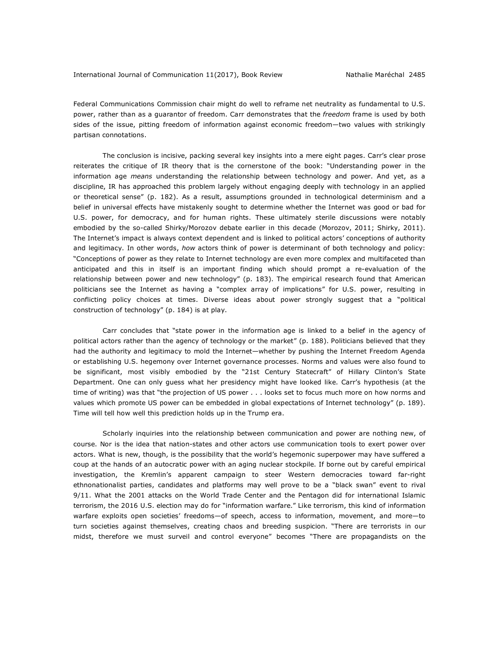Federal Communications Commission chair might do well to reframe net neutrality as fundamental to U.S. power, rather than as a guarantor of freedom. Carr demonstrates that the *freedom* frame is used by both sides of the issue, pitting freedom of information against economic freedom—two values with strikingly partisan connotations.

The conclusion is incisive, packing several key insights into a mere eight pages. Carr's clear prose reiterates the critique of IR theory that is the cornerstone of the book: "Understanding power in the information age *means* understanding the relationship between technology and power. And yet, as a discipline, IR has approached this problem largely without engaging deeply with technology in an applied or theoretical sense" (p. 182). As a result, assumptions grounded in technological determinism and a belief in universal effects have mistakenly sought to determine whether the Internet was good or bad for U.S. power, for democracy, and for human rights. These ultimately sterile discussions were notably embodied by the so-called Shirky/Morozov debate earlier in this decade (Morozov, 2011; Shirky, 2011). The Internet's impact is always context dependent and is linked to political actors' conceptions of authority and legitimacy. In other words, *how* actors think of power is determinant of both technology and policy: "Conceptions of power as they relate to Internet technology are even more complex and multifaceted than anticipated and this in itself is an important finding which should prompt a re-evaluation of the relationship between power and new technology" (p. 183). The empirical research found that American politicians see the Internet as having a "complex array of implications" for U.S. power, resulting in conflicting policy choices at times. Diverse ideas about power strongly suggest that a "political construction of technology" (p. 184) is at play.

Carr concludes that "state power in the information age is linked to a belief in the agency of political actors rather than the agency of technology or the market" (p. 188). Politicians believed that they had the authority and legitimacy to mold the Internet—whether by pushing the Internet Freedom Agenda or establishing U.S. hegemony over Internet governance processes. Norms and values were also found to be significant, most visibly embodied by the "21st Century Statecraft" of Hillary Clinton's State Department. One can only guess what her presidency might have looked like. Carr's hypothesis (at the time of writing) was that "the projection of US power . . . looks set to focus much more on how norms and values which promote US power can be embedded in global expectations of Internet technology" (p. 189). Time will tell how well this prediction holds up in the Trump era.

Scholarly inquiries into the relationship between communication and power are nothing new, of course. Nor is the idea that nation-states and other actors use communication tools to exert power over actors. What is new, though, is the possibility that the world's hegemonic superpower may have suffered a coup at the hands of an autocratic power with an aging nuclear stockpile. If borne out by careful empirical investigation, the Kremlin's apparent campaign to steer Western democracies toward far-right ethnonationalist parties, candidates and platforms may well prove to be a "black swan" event to rival 9/11. What the 2001 attacks on the World Trade Center and the Pentagon did for international Islamic terrorism, the 2016 U.S. election may do for "information warfare." Like terrorism, this kind of information warfare exploits open societies' freedoms—of speech, access to information, movement, and more—to turn societies against themselves, creating chaos and breeding suspicion. "There are terrorists in our midst, therefore we must surveil and control everyone" becomes "There are propagandists on the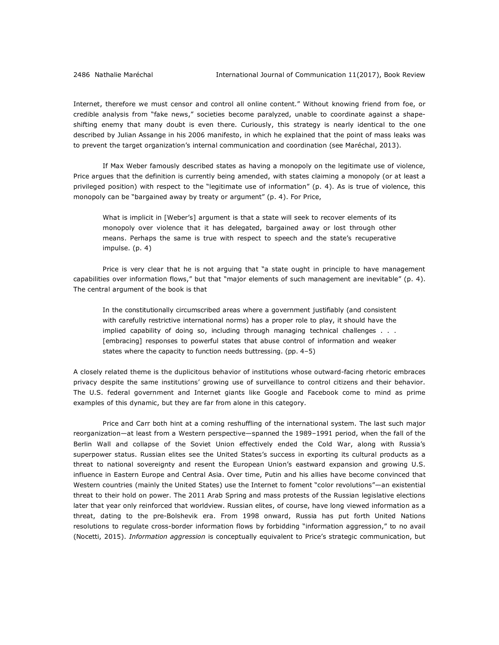Internet, therefore we must censor and control all online content." Without knowing friend from foe, or credible analysis from "fake news," societies become paralyzed, unable to coordinate against a shapeshifting enemy that many doubt is even there. Curiously, this strategy is nearly identical to the one described by Julian Assange in his 2006 manifesto, in which he explained that the point of mass leaks was to prevent the target organization's internal communication and coordination (see Maréchal, 2013).

If Max Weber famously described states as having a monopoly on the legitimate use of violence, Price argues that the definition is currently being amended, with states claiming a monopoly (or at least a privileged position) with respect to the "legitimate use of information" (p. 4). As is true of violence, this monopoly can be "bargained away by treaty or argument" (p. 4). For Price,

What is implicit in [Weber's] argument is that a state will seek to recover elements of its monopoly over violence that it has delegated, bargained away or lost through other means. Perhaps the same is true with respect to speech and the state's recuperative impulse. (p. 4)

Price is very clear that he is not arguing that "a state ought in principle to have management capabilities over information flows," but that "major elements of such management are inevitable" (p. 4). The central argument of the book is that

In the constitutionally circumscribed areas where a government justifiably (and consistent with carefully restrictive international norms) has a proper role to play, it should have the implied capability of doing so, including through managing technical challenges . . . [embracing] responses to powerful states that abuse control of information and weaker states where the capacity to function needs buttressing. (pp. 4–5)

A closely related theme is the duplicitous behavior of institutions whose outward-facing rhetoric embraces privacy despite the same institutions' growing use of surveillance to control citizens and their behavior. The U.S. federal government and Internet giants like Google and Facebook come to mind as prime examples of this dynamic, but they are far from alone in this category.

Price and Carr both hint at a coming reshuffling of the international system. The last such major reorganization—at least from a Western perspective—spanned the 1989–1991 period, when the fall of the Berlin Wall and collapse of the Soviet Union effectively ended the Cold War, along with Russia's superpower status. Russian elites see the United States's success in exporting its cultural products as a threat to national sovereignty and resent the European Union's eastward expansion and growing U.S. influence in Eastern Europe and Central Asia. Over time, Putin and his allies have become convinced that Western countries (mainly the United States) use the Internet to foment "color revolutions"—an existential threat to their hold on power. The 2011 Arab Spring and mass protests of the Russian legislative elections later that year only reinforced that worldview. Russian elites, of course, have long viewed information as a threat, dating to the pre-Bolshevik era. From 1998 onward, Russia has put forth United Nations resolutions to regulate cross-border information flows by forbidding "information aggression," to no avail (Nocetti, 2015). *Information aggression* is conceptually equivalent to Price's strategic communication, but